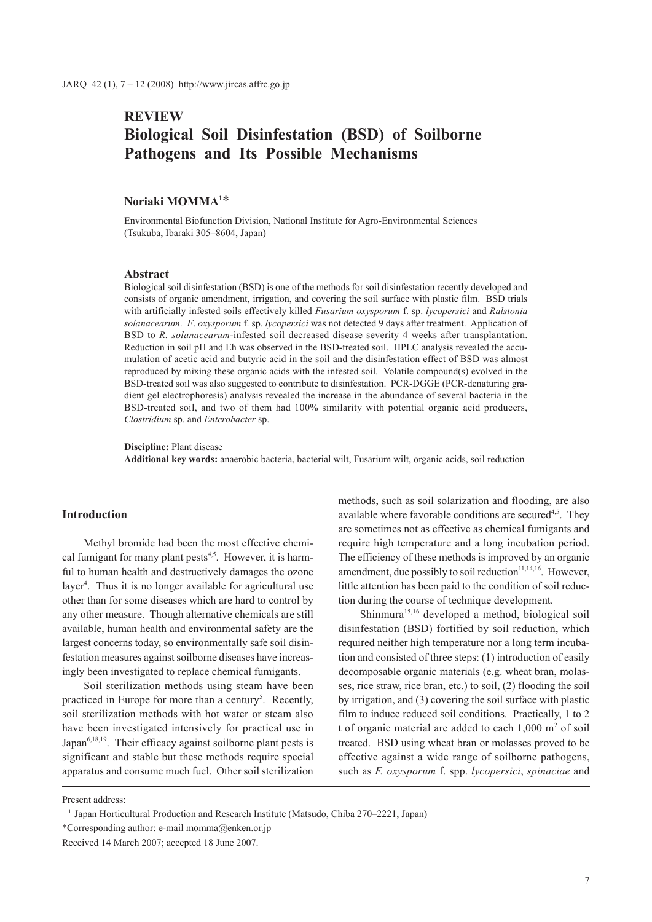# **REVIEW Biological Soil Disinfestation (BSD) of Soilborne Pathogens and Its Possible Mechanisms**

# **Noriaki MOMMA1** \*

Environmental Biofunction Division, National Institute for Agro-Environmental Sciences (Tsukuba, Ibaraki 305–8604, Japan)

#### **Abstract**

Biological soil disinfestation (BSD) is one of the methods for soil disinfestation recently developed and consists of organic amendment, irrigation, and covering the soil surface with plastic film. BSD trials with artificially infested soils effectively killed *Fusarium oxysporum* f. sp. *lycopersici* and *Ralstonia solanacearum*. *F*. *oxysporum* f. sp. *lycopersici* was not detected 9 days after treatment. Application of BSD to *R. solanacearum*-infested soil decreased disease severity 4 weeks after transplantation. Reduction in soil pH and Eh was observed in the BSD-treated soil. HPLC analysis revealed the accumulation of acetic acid and butyric acid in the soil and the disinfestation effect of BSD was almost reproduced by mixing these organic acids with the infested soil. Volatile compound(s) evolved in the BSD-treated soil was also suggested to contribute to disinfestation. PCR-DGGE (PCR-denaturing gradient gel electrophoresis) analysis revealed the increase in the abundance of several bacteria in the BSD-treated soil, and two of them had 100% similarity with potential organic acid producers, *Clostridium* sp. and *Enterobacter* sp.

**Discipline:** Plant disease

**Additional key words:** anaerobic bacteria, bacterial wilt, Fusarium wilt, organic acids, soil reduction

# **Introduction**

Methyl bromide had been the most effective chemical fumigant for many plant pests $4,5$ . However, it is harmful to human health and destructively damages the ozone layer<sup>4</sup>. Thus it is no longer available for agricultural use other than for some diseases which are hard to control by any other measure. Though alternative chemicals are still available, human health and environmental safety are the largest concerns today, so environmentally safe soil disinfestation measures against soilborne diseases have increasingly been investigated to replace chemical fumigants.

Soil sterilization methods using steam have been practiced in Europe for more than a century<sup>5</sup>. Recently, soil sterilization methods with hot water or steam also have been investigated intensively for practical use in Japan $6,18,19$ . Their efficacy against soilborne plant pests is significant and stable but these methods require special apparatus and consume much fuel. Other soil sterilization

methods, such as soil solarization and flooding, are also available where favorable conditions are secured<sup>4,5</sup>. They are sometimes not as effective as chemical fumigants and require high temperature and a long incubation period. The efficiency of these methods is improved by an organic amendment, due possibly to soil reduction $11,14,16$ . However, little attention has been paid to the condition of soil reduction during the course of technique development.

Shinmura<sup>15,16</sup> developed a method, biological soil disinfestation (BSD) fortified by soil reduction, which required neither high temperature nor a long term incubation and consisted of three steps: (1) introduction of easily decomposable organic materials (e.g. wheat bran, molasses, rice straw, rice bran, etc.) to soil, (2) flooding the soil by irrigation, and (3) covering the soil surface with plastic film to induce reduced soil conditions. Practically, 1 to 2 t of organic material are added to each  $1,000 \text{ m}^2$  of soil treated. BSD using wheat bran or molasses proved to be effective against a wide range of soilborne pathogens, such as *F. oxysporum* f. spp. *lycopersici*, *spinaciae* and

Present address:

<sup>&</sup>lt;sup>1</sup> Japan Horticultural Production and Research Institute (Matsudo, Chiba 270–2221, Japan)

<sup>\*</sup>Corresponding author: e-mail momma@enken.or.jp

Received 14 March 2007; accepted 18 June 2007.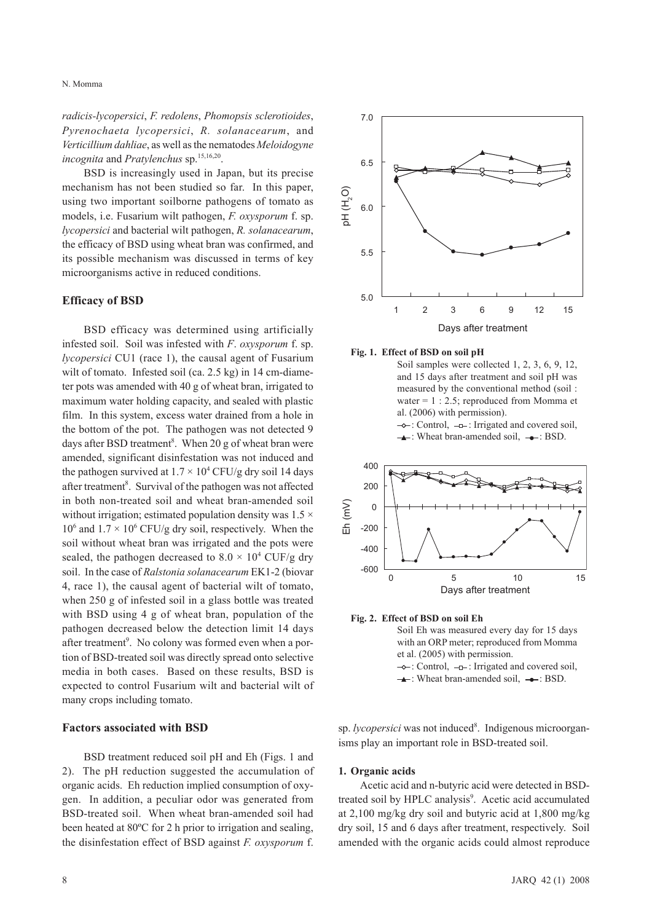*radicis-lycopersici*, *F. redolens*, *Phomopsis sclerotioides*, *Pyrenochaeta lycopersici*, *R. solanacearum*, and *Verticillium dahliae*, as well as the nematodes *Meloidogyne incognita* and *Pratylenchus* sp.15,16,20.

BSD is increasingly used in Japan, but its precise mechanism has not been studied so far. In this paper, using two important soilborne pathogens of tomato as models, i.e. Fusarium wilt pathogen, *F. oxysporum* f. sp. *lycopersici* and bacterial wilt pathogen, *R. solanacearum*, the efficacy of BSD using wheat bran was confirmed, and its possible mechanism was discussed in terms of key microorganisms active in reduced conditions.

#### **Efficacy of BSD**

BSD efficacy was determined using artificially infested soil. Soil was infested with *F*. *oxysporum* f. sp. *lycopersici* CU1 (race 1), the causal agent of Fusarium wilt of tomato. Infested soil (ca. 2.5 kg) in 14 cm-diameter pots was amended with 40 g of wheat bran, irrigated to maximum water holding capacity, and sealed with plastic film. In this system, excess water drained from a hole in the bottom of the pot. The pathogen was not detected 9 days after BSD treatment<sup>8</sup>. When 20 g of wheat bran were amended, significant disinfestation was not induced and the pathogen survived at  $1.7 \times 10^4$  CFU/g dry soil 14 days after treatment<sup>8</sup>. Survival of the pathogen was not affected in both non-treated soil and wheat bran-amended soil without irrigation; estimated population density was  $1.5 \times$  $10^6$  and  $1.7 \times 10^6$  CFU/g dry soil, respectively. When the soil without wheat bran was irrigated and the pots were sealed, the pathogen decreased to  $8.0 \times 10^4$  CUF/g dry soil. In the case of *Ralstonia solanacearum* EK1-2 (biovar 4, race 1), the causal agent of bacterial wilt of tomato, when 250 g of infested soil in a glass bottle was treated with BSD using 4 g of wheat bran, population of the pathogen decreased below the detection limit 14 days after treatment<sup>9</sup>. No colony was formed even when a portion of BSD-treated soil was directly spread onto selective media in both cases. Based on these results, BSD is expected to control Fusarium wilt and bacterial wilt of many crops including tomato.

#### **Factors associated with BSD**

BSD treatment reduced soil pH and Eh (Figs. 1 and 2). The pH reduction suggested the accumulation of organic acids. Eh reduction implied consumption of oxygen. In addition, a peculiar odor was generated from BSD-treated soil. When wheat bran-amended soil had been heated at 80ºC for 2 h prior to irrigation and sealing, the disinfestation effect of BSD against *F. oxysporum* f.



#### **Fig. 1. Effect of BSD on soil pH**

Soil samples were collected 1, 2, 3, 6, 9, 12, and 15 days after treatment and soil pH was measured by the conventional method (soil : water = 1 : 2.5; reproduced from Momma et al. (2006) with permission).

 $\rightarrow$ : Control,  $\rightarrow$  : Irrigated and covered soil,  $\rightarrow$ : Wheat bran-amended soil,  $\rightarrow$ : BSD.



# **Fig. 2. Effect of BSD on soil Eh**

Soil Eh was measured every day for 15 days with an ORP meter; reproduced from Momma et al. (2005) with permission.  $\rightarrow$ : Control,  $\rightarrow$ -: Irrigated and covered soil,

 $\rightarrow$ : Wheat bran-amended soil,  $\rightarrow$ : BSD.

sp. lycopersici was not induced<sup>8</sup>. Indigenous microorganisms play an important role in BSD-treated soil.

### **1. Organic acids**

Acetic acid and n-butyric acid were detected in BSDtreated soil by HPLC analysis<sup>9</sup>. Acetic acid accumulated at 2,100 mg/kg dry soil and butyric acid at 1,800 mg/kg dry soil, 15 and 6 days after treatment, respectively. Soil amended with the organic acids could almost reproduce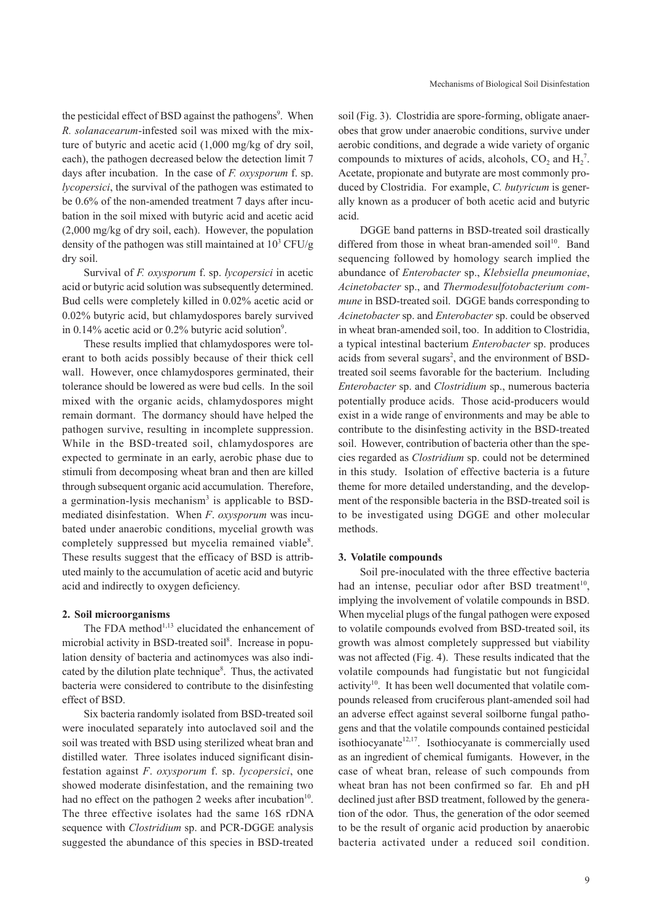the pesticidal effect of BSD against the pathogens<sup>9</sup>. When *R. solanacearum*-infested soil was mixed with the mixture of butyric and acetic acid (1,000 mg/kg of dry soil, each), the pathogen decreased below the detection limit 7 days after incubation. In the case of *F. oxysporum* f. sp. *lycopersici*, the survival of the pathogen was estimated to be 0.6% of the non-amended treatment 7 days after incubation in the soil mixed with butyric acid and acetic acid (2,000 mg/kg of dry soil, each). However, the population density of the pathogen was still maintained at  $10^3$  CFU/g dry soil.

Survival of *F. oxysporum* f. sp. *lycopersici* in acetic acid or butyric acid solution was subsequently determined. Bud cells were completely killed in 0.02% acetic acid or 0.02% butyric acid, but chlamydospores barely survived in 0.14% acetic acid or 0.2% butyric acid solution<sup>9</sup>.

These results implied that chlamydospores were tolerant to both acids possibly because of their thick cell wall. However, once chlamydospores germinated, their tolerance should be lowered as were bud cells. In the soil mixed with the organic acids, chlamydospores might remain dormant. The dormancy should have helped the pathogen survive, resulting in incomplete suppression. While in the BSD-treated soil, chlamydospores are expected to germinate in an early, aerobic phase due to stimuli from decomposing wheat bran and then are killed through subsequent organic acid accumulation. Therefore, a germination-lysis mechanism<sup>3</sup> is applicable to BSDmediated disinfestation. When *F*. *oxysporum* was incubated under anaerobic conditions, mycelial growth was completely suppressed but mycelia remained viable<sup>8</sup>. These results suggest that the efficacy of BSD is attributed mainly to the accumulation of acetic acid and butyric acid and indirectly to oxygen deficiency.

#### **2. Soil microorganisms**

The FDA method<sup>1,13</sup> elucidated the enhancement of microbial activity in BSD-treated soil<sup>8</sup>. Increase in population density of bacteria and actinomyces was also indicated by the dilution plate technique<sup>8</sup>. Thus, the activated bacteria were considered to contribute to the disinfesting effect of BSD.

Six bacteria randomly isolated from BSD-treated soil were inoculated separately into autoclaved soil and the soil was treated with BSD using sterilized wheat bran and distilled water. Three isolates induced significant disinfestation against *F*. *oxysporum* f. sp. *lycopersici*, one showed moderate disinfestation, and the remaining two had no effect on the pathogen 2 weeks after incubation $10$ . The three effective isolates had the same 16S rDNA sequence with *Clostridium* sp. and PCR-DGGE analysis suggested the abundance of this species in BSD-treated

soil (Fig. 3). Clostridia are spore-forming, obligate anaerobes that grow under anaerobic conditions, survive under aerobic conditions, and degrade a wide variety of organic compounds to mixtures of acids, alcohols,  $CO_2$  and  $H_2^7$ . Acetate, propionate and butyrate are most commonly produced by Clostridia. For example, *C. butyricum* is generally known as a producer of both acetic acid and butyric acid.

DGGE band patterns in BSD-treated soil drastically differed from those in wheat bran-amended soil<sup>10</sup>. Band sequencing followed by homology search implied the abundance of *Enterobacter* sp., *Klebsiella pneumoniae*, *Acinetobacter* sp., and *Thermodesulfotobacterium commune* in BSD-treated soil. DGGE bands corresponding to *Acinetobacter* sp. and *Enterobacter* sp. could be observed in wheat bran-amended soil, too. In addition to Clostridia, a typical intestinal bacterium *Enterobacter* sp. produces acids from several sugars<sup>2</sup>, and the environment of BSDtreated soil seems favorable for the bacterium. Including *Enterobacter* sp. and *Clostridium* sp., numerous bacteria potentially produce acids. Those acid-producers would exist in a wide range of environments and may be able to contribute to the disinfesting activity in the BSD-treated soil. However, contribution of bacteria other than the species regarded as *Clostridium* sp. could not be determined in this study. Isolation of effective bacteria is a future theme for more detailed understanding, and the development of the responsible bacteria in the BSD-treated soil is to be investigated using DGGE and other molecular methods.

### **3. Volatile compounds**

Soil pre-inoculated with the three effective bacteria had an intense, peculiar odor after BSD treatment<sup>10</sup>, implying the involvement of volatile compounds in BSD. When mycelial plugs of the fungal pathogen were exposed to volatile compounds evolved from BSD-treated soil, its growth was almost completely suppressed but viability was not affected (Fig. 4). These results indicated that the volatile compounds had fungistatic but not fungicidal activity<sup>10</sup>. It has been well documented that volatile compounds released from cruciferous plant-amended soil had an adverse effect against several soilborne fungal pathogens and that the volatile compounds contained pesticidal isothiocyanate<sup>12,17</sup>. Isothiocyanate is commercially used as an ingredient of chemical fumigants. However, in the case of wheat bran, release of such compounds from wheat bran has not been confirmed so far. Eh and pH declined just after BSD treatment, followed by the generation of the odor. Thus, the generation of the odor seemed to be the result of organic acid production by anaerobic bacteria activated under a reduced soil condition.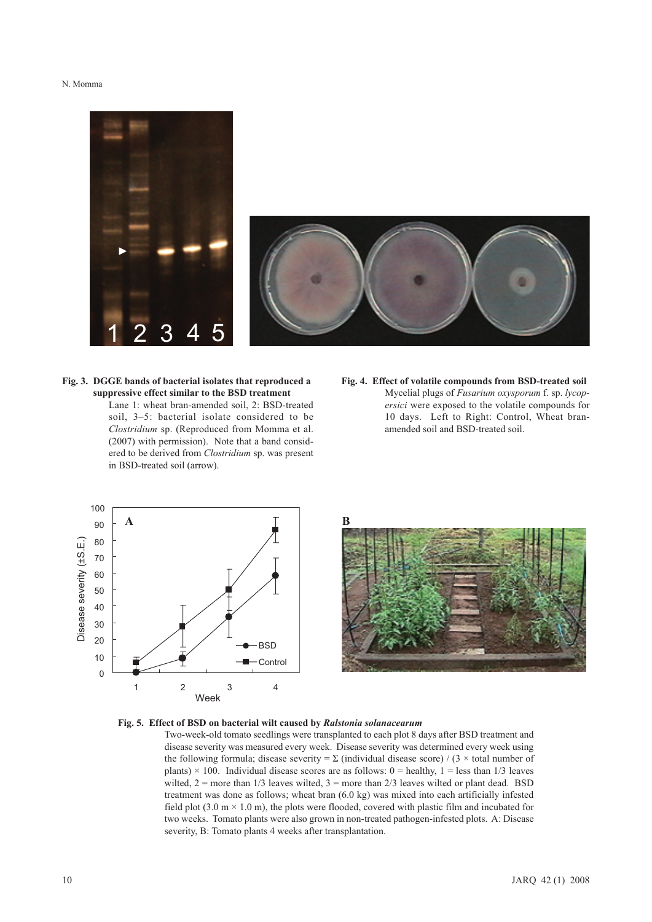N. Momma





**Fig. 3. DGGE bands of bacterial isolates that reproduced a suppressive effect similar to the BSD treatment**  Lane 1: wheat bran-amended soil, 2: BSD-treated soil, 3–5: bacterial isolate considered to be *Clostridium* sp. (Reproduced from Momma et al. (2007) with permission). Note that a band considered to be derived from *Clostridium* sp. was present in BSD-treated soil (arrow).

**Fig. 4. Effect of volatile compounds from BSD-treated soil**  Mycelial plugs of *Fusarium oxysporum* f. sp. *lycopersici* were exposed to the volatile compounds for 10 days. Left to Right: Control, Wheat branamended soil and BSD-treated soil.





#### **Fig. 5. Effect of BSD on bacterial wilt caused by** *Ralstonia solanacearum*

Two-week-old tomato seedlings were transplanted to each plot 8 days after BSD treatment and disease severity was measured every week. Disease severity was determined every week using the following formula; disease severity =  $\Sigma$  (individual disease score) / (3 × total number of plants)  $\times$  100. Individual disease scores are as follows: 0 = healthy, 1 = less than 1/3 leaves wilted,  $2 =$  more than  $1/3$  leaves wilted,  $3 =$  more than  $2/3$  leaves wilted or plant dead. BSD treatment was done as follows; wheat bran (6.0 kg) was mixed into each artificially infested field plot  $(3.0 \text{ m} \times 1.0 \text{ m})$ , the plots were flooded, covered with plastic film and incubated for two weeks. Tomato plants were also grown in non-treated pathogen-infested plots. A: Disease severity, B: Tomato plants 4 weeks after transplantation.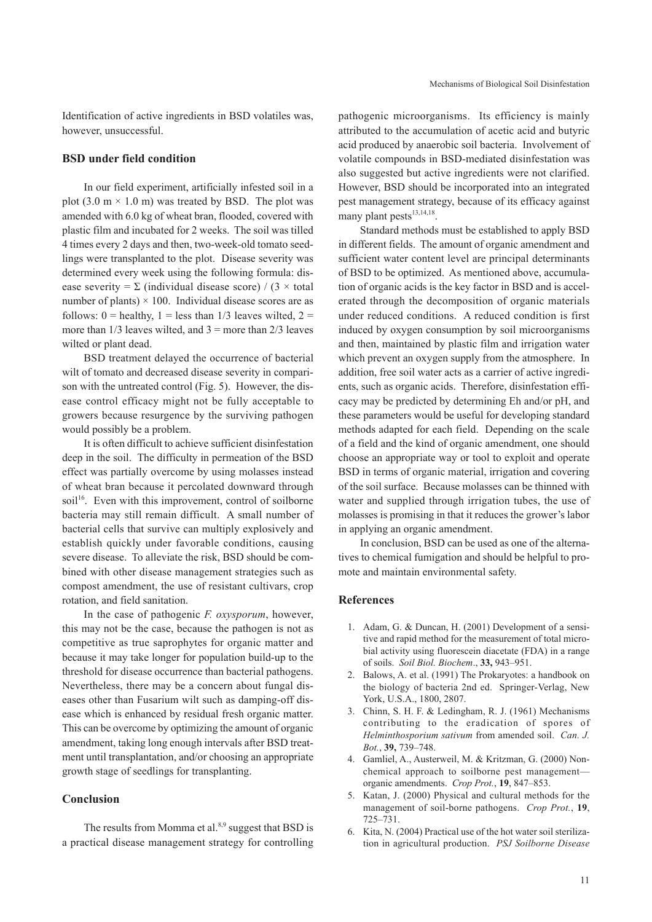Identification of active ingredients in BSD volatiles was, however, unsuccessful.

### **BSD under field condition**

In our field experiment, artificially infested soil in a plot  $(3.0 \text{ m} \times 1.0 \text{ m})$  was treated by BSD. The plot was amended with 6.0 kg of wheat bran, flooded, covered with plastic film and incubated for 2 weeks. The soil was tilled 4 times every 2 days and then, two-week-old tomato seedlings were transplanted to the plot. Disease severity was determined every week using the following formula: disease severity =  $\Sigma$  (individual disease score) / (3 × total number of plants)  $\times$  100. Individual disease scores are as follows:  $0 =$  healthy,  $1 =$  less than  $1/3$  leaves wilted,  $2 =$ more than  $1/3$  leaves wilted, and  $3 =$  more than  $2/3$  leaves wilted or plant dead.

BSD treatment delayed the occurrence of bacterial wilt of tomato and decreased disease severity in comparison with the untreated control (Fig. 5). However, the disease control efficacy might not be fully acceptable to growers because resurgence by the surviving pathogen would possibly be a problem.

It is often difficult to achieve sufficient disinfestation deep in the soil. The difficulty in permeation of the BSD effect was partially overcome by using molasses instead of wheat bran because it percolated downward through soil<sup>16</sup>. Even with this improvement, control of soilborne bacteria may still remain difficult. A small number of bacterial cells that survive can multiply explosively and establish quickly under favorable conditions, causing severe disease. To alleviate the risk, BSD should be combined with other disease management strategies such as compost amendment, the use of resistant cultivars, crop rotation, and field sanitation.

In the case of pathogenic *F. oxysporum*, however, this may not be the case, because the pathogen is not as competitive as true saprophytes for organic matter and because it may take longer for population build-up to the threshold for disease occurrence than bacterial pathogens. Nevertheless, there may be a concern about fungal diseases other than Fusarium wilt such as damping-off disease which is enhanced by residual fresh organic matter. This can be overcome by optimizing the amount of organic amendment, taking long enough intervals after BSD treatment until transplantation, and/or choosing an appropriate growth stage of seedlings for transplanting.

# **Conclusion**

The results from Momma et al. $8,9$  suggest that BSD is a practical disease management strategy for controlling

pathogenic microorganisms. Its efficiency is mainly attributed to the accumulation of acetic acid and butyric acid produced by anaerobic soil bacteria. Involvement of volatile compounds in BSD-mediated disinfestation was also suggested but active ingredients were not clarified. However, BSD should be incorporated into an integrated pest management strategy, because of its efficacy against many plant pests $13,14,18$ .

Standard methods must be established to apply BSD in different fields. The amount of organic amendment and sufficient water content level are principal determinants of BSD to be optimized. As mentioned above, accumulation of organic acids is the key factor in BSD and is accelerated through the decomposition of organic materials under reduced conditions. A reduced condition is first induced by oxygen consumption by soil microorganisms and then, maintained by plastic film and irrigation water which prevent an oxygen supply from the atmosphere. In addition, free soil water acts as a carrier of active ingredients, such as organic acids. Therefore, disinfestation efficacy may be predicted by determining Eh and/or pH, and these parameters would be useful for developing standard methods adapted for each field. Depending on the scale of a field and the kind of organic amendment, one should choose an appropriate way or tool to exploit and operate BSD in terms of organic material, irrigation and covering of the soil surface. Because molasses can be thinned with water and supplied through irrigation tubes, the use of molasses is promising in that it reduces the grower's labor in applying an organic amendment.

In conclusion, BSD can be used as one of the alternatives to chemical fumigation and should be helpful to promote and maintain environmental safety.

# **References**

- 1. Adam, G. & Duncan, H. (2001) Development of a sensitive and rapid method for the measurement of total microbial activity using fluorescein diacetate (FDA) in a range of soils. *Soil Biol. Biochem*., **33,** 943–951.
- 2. Balows, A. et al. (1991) The Prokaryotes: a handbook on the biology of bacteria 2nd ed. Springer-Verlag, New York, U.S.A., 1800, 2807.
- 3. Chinn, S. H. F. & Ledingham, R. J. (1961) Mechanisms contributing to the eradication of spores of *Helminthosporium sativum* from amended soil. *Can. J. Bot.*, **39,** 739–748.
- 4. Gamliel, A., Austerweil, M. & Kritzman, G. (2000) Nonchemical approach to soilborne pest management organic amendments. *Crop Prot.*, **19**, 847–853.
- 5. Katan, J. (2000) Physical and cultural methods for the management of soil-borne pathogens. *Crop Prot.*, **19**, 725–731.
- 6. Kita, N. (2004) Practical use of the hot water soil sterilization in agricultural production. *PSJ Soilborne Disease*